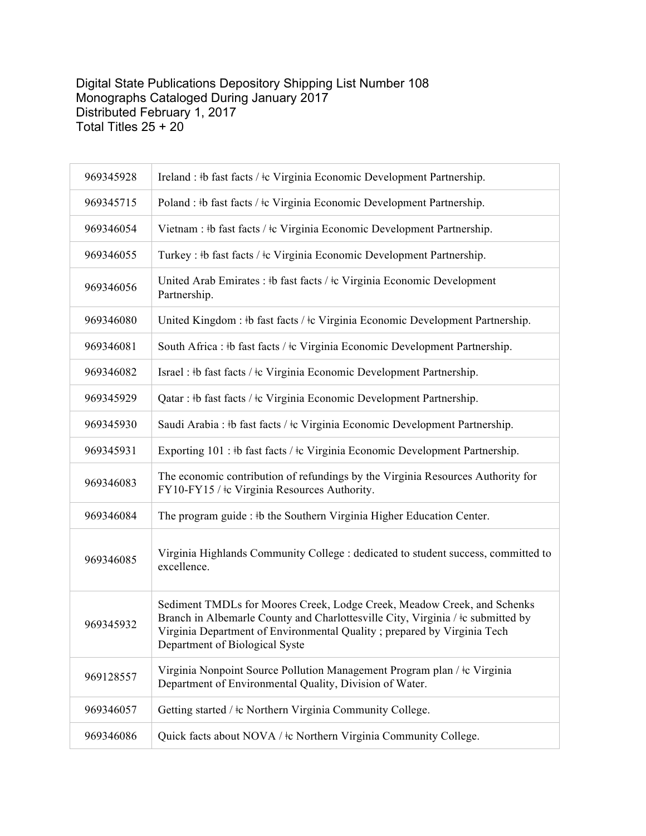## Digital State Publications Depository Shipping List Number 108 Monographs Cataloged During January 2017 Distributed February 1, 2017 Total Titles 25 + 20

| 969345928 | Ireland : #b fast facts / #c Virginia Economic Development Partnership.                                                                                                                                                                                                      |
|-----------|------------------------------------------------------------------------------------------------------------------------------------------------------------------------------------------------------------------------------------------------------------------------------|
| 969345715 | Poland : #b fast facts / #c Virginia Economic Development Partnership.                                                                                                                                                                                                       |
| 969346054 | Vietnam : #b fast facts / $\pm c$ Virginia Economic Development Partnership.                                                                                                                                                                                                 |
| 969346055 | Turkey : #b fast facts / $\pm c$ Virginia Economic Development Partnership.                                                                                                                                                                                                  |
| 969346056 | United Arab Emirates : #b fast facts / #c Virginia Economic Development<br>Partnership.                                                                                                                                                                                      |
| 969346080 | United Kingdom : #b fast facts / #c Virginia Economic Development Partnership.                                                                                                                                                                                               |
| 969346081 | South Africa : #b fast facts / $\pm c$ Virginia Economic Development Partnership.                                                                                                                                                                                            |
| 969346082 | Israel : #b fast facts / #c Virginia Economic Development Partnership.                                                                                                                                                                                                       |
| 969345929 | Qatar : #b fast facts / #c Virginia Economic Development Partnership.                                                                                                                                                                                                        |
| 969345930 | Saudi Arabia : #b fast facts / #c Virginia Economic Development Partnership.                                                                                                                                                                                                 |
| 969345931 | Exporting 101 : #b fast facts / $\pm c$ Virginia Economic Development Partnership.                                                                                                                                                                                           |
| 969346083 | The economic contribution of refundings by the Virginia Resources Authority for<br>FY10-FY15 / $\pm$ c Virginia Resources Authority.                                                                                                                                         |
| 969346084 | The program guide : #b the Southern Virginia Higher Education Center.                                                                                                                                                                                                        |
| 969346085 | Virginia Highlands Community College : dedicated to student success, committed to<br>excellence.                                                                                                                                                                             |
| 969345932 | Sediment TMDLs for Moores Creek, Lodge Creek, Meadow Creek, and Schenks<br>Branch in Albemarle County and Charlottesville City, Virginia / $\pm c$ submitted by<br>Virginia Department of Environmental Quality; prepared by Virginia Tech<br>Department of Biological Syste |
| 969128557 | Virginia Nonpoint Source Pollution Management Program plan / ‡c Virginia<br>Department of Environmental Quality, Division of Water.                                                                                                                                          |
| 969346057 | Getting started / $\pm c$ Northern Virginia Community College.                                                                                                                                                                                                               |
| 969346086 | Quick facts about NOVA / ‡c Northern Virginia Community College.                                                                                                                                                                                                             |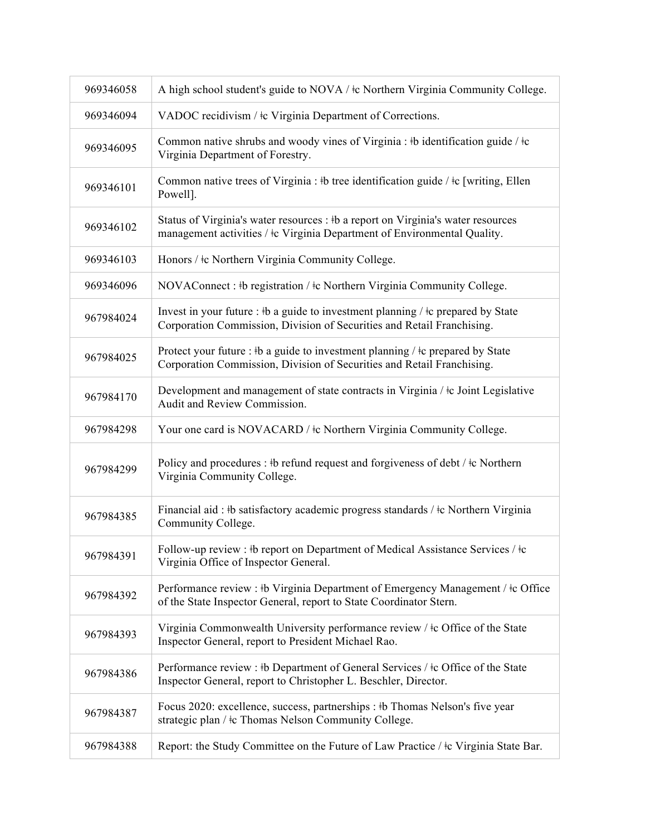| 969346058 | A high school student's guide to NOVA / <sup>†</sup> c Northern Virginia Community College.                                                                               |
|-----------|---------------------------------------------------------------------------------------------------------------------------------------------------------------------------|
| 969346094 | VADOC recidivism / $\pm c$ Virginia Department of Corrections.                                                                                                            |
| 969346095 | Common native shrubs and woody vines of Virginia : #b identification guide / $\pm c$<br>Virginia Department of Forestry.                                                  |
| 969346101 | Common native trees of Virginia : #b tree identification guide / $\pm c$ [writing, Ellen]<br>Powell].                                                                     |
| 969346102 | Status of Virginia's water resources : #b a report on Virginia's water resources<br>management activities / $\frac{1}{2}$ c Virginia Department of Environmental Quality. |
| 969346103 | Honors / ‡c Northern Virginia Community College.                                                                                                                          |
| 969346096 | NOVAConnect : #b registration / #c Northern Virginia Community College.                                                                                                   |
| 967984024 | Invest in your future : #b a guide to investment planning / $\pm c$ prepared by State<br>Corporation Commission, Division of Securities and Retail Franchising.           |
| 967984025 | Protect your future : #b a guide to investment planning / $\pm c$ prepared by State<br>Corporation Commission, Division of Securities and Retail Franchising.             |
| 967984170 | Development and management of state contracts in Virginia / ‡c Joint Legislative<br>Audit and Review Commission.                                                          |
| 967984298 | Your one card is NOVACARD / $\pm c$ Northern Virginia Community College.                                                                                                  |
| 967984299 | Policy and procedures : #b refund request and forgiveness of debt / $\pm c$ Northern<br>Virginia Community College.                                                       |
| 967984385 | Financial aid: #b satisfactory academic progress standards / #c Northern Virginia<br>Community College.                                                                   |
| 967984391 | Follow-up review : #b report on Department of Medical Assistance Services / $\pm c$<br>Virginia Office of Inspector General.                                              |
| 967984392 | Performance review : #b Virginia Department of Emergency Management / #c Office<br>of the State Inspector General, report to State Coordinator Stern.                     |
| 967984393 | Virginia Commonwealth University performance review / ‡c Office of the State<br>Inspector General, report to President Michael Rao.                                       |
| 967984386 | Performance review : #b Department of General Services / #c Office of the State<br>Inspector General, report to Christopher L. Beschler, Director.                        |
| 967984387 | Focus 2020: excellence, success, partnerships : #b Thomas Nelson's five year<br>strategic plan / $\pm c$ Thomas Nelson Community College.                                 |
| 967984388 | Report: the Study Committee on the Future of Law Practice / $\pm c$ Virginia State Bar.                                                                                   |